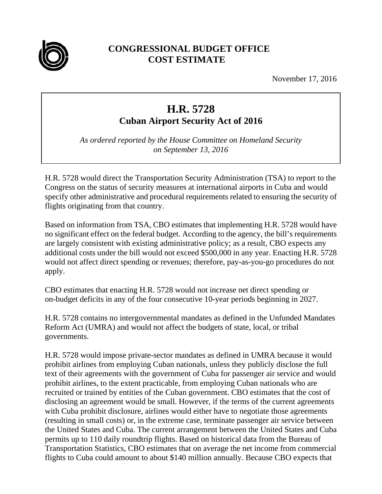

## **CONGRESSIONAL BUDGET OFFICE COST ESTIMATE**

November 17, 2016

## **H.R. 5728**

**Cuban Airport Security Act of 2016** 

*As ordered reported by the House Committee on Homeland Security on September 13, 2016* 

H.R. 5728 would direct the Transportation Security Administration (TSA) to report to the Congress on the status of security measures at international airports in Cuba and would specify other administrative and procedural requirements related to ensuring the security of flights originating from that country.

Based on information from TSA, CBO estimates that implementing H.R. 5728 would have no significant effect on the federal budget. According to the agency, the bill's requirements are largely consistent with existing administrative policy; as a result, CBO expects any additional costs under the bill would not exceed \$500,000 in any year. Enacting H.R. 5728 would not affect direct spending or revenues; therefore, pay-as-you-go procedures do not apply.

CBO estimates that enacting H.R. 5728 would not increase net direct spending or on-budget deficits in any of the four consecutive 10-year periods beginning in 2027.

H.R. 5728 contains no intergovernmental mandates as defined in the Unfunded Mandates Reform Act (UMRA) and would not affect the budgets of state, local, or tribal governments.

H.R. 5728 would impose private-sector mandates as defined in UMRA because it would prohibit airlines from employing Cuban nationals, unless they publicly disclose the full text of their agreements with the government of Cuba for passenger air service and would prohibit airlines, to the extent practicable, from employing Cuban nationals who are recruited or trained by entities of the Cuban government. CBO estimates that the cost of disclosing an agreement would be small. However, if the terms of the current agreements with Cuba prohibit disclosure, airlines would either have to negotiate those agreements (resulting in small costs) or, in the extreme case, terminate passenger air service between the United States and Cuba. The current arrangement between the United States and Cuba permits up to 110 daily roundtrip flights. Based on historical data from the Bureau of Transportation Statistics, CBO estimates that on average the net income from commercial flights to Cuba could amount to about \$140 million annually. Because CBO expects that